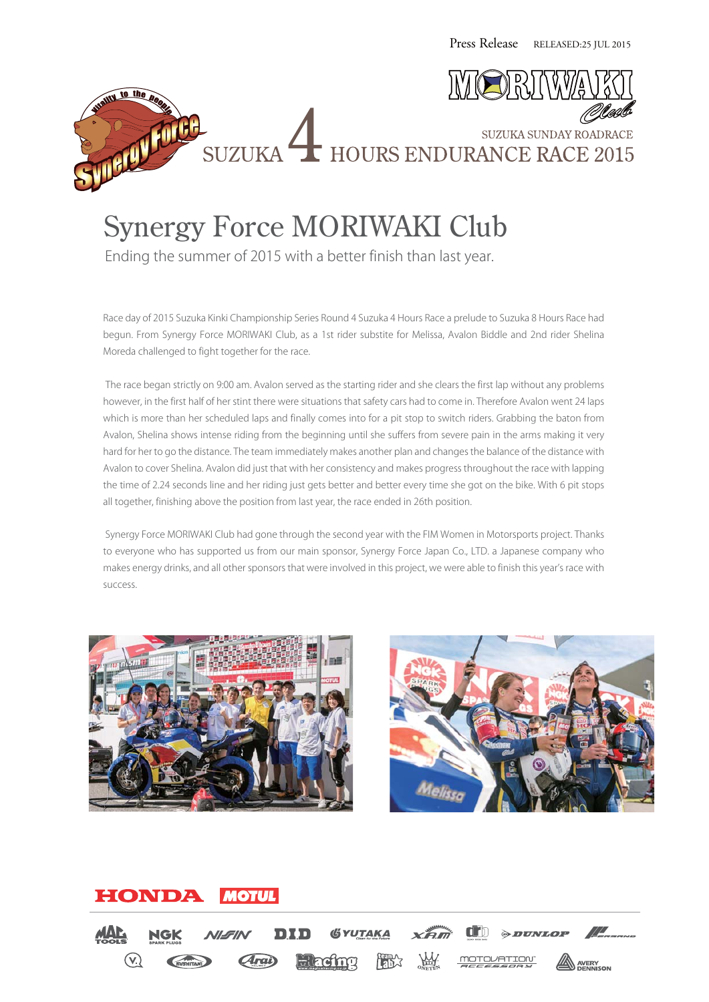





SUZUKA HOURS ENDURANCE RACE 2015

Ending the summer of 2015 with a better finish than last year.

Race day of 2015 Suzuka Kinki Championship Series Round 4 Suzuka 4 Hours Race a prelude to Suzuka 8 Hours Race had begun. From Synergy Force MORIWAKI Club, as a 1st rider substite for Melissa, Avalon Biddle and 2nd rider Shelina Moreda challenged to fight together for the race.

 The race began strictly on 9:00 am. Avalon served as the starting rider and she clears the first lap without any problems however, in the first half of her stint there were situations that safety cars had to come in. Therefore Avalon went 24 laps which is more than her scheduled laps and finally comes into for a pit stop to switch riders. Grabbing the baton from Avalon, Shelina shows intense riding from the beginning until she suffers from severe pain in the arms making it very hard for her to go the distance. The team immediately makes another plan and changes the balance of the distance with Avalon to cover Shelina. Avalon did just that with her consistency and makes progress throughout the race with lapping the time of 2.24 seconds line and her riding just gets better and better every time she got on the bike. With 6 pit stops all together, finishing above the position from last year, the race ended in 26th position.

 Synergy Force MORIWAKI Club had gone through the second year with the FIM Women in Motorsports project. Thanks to everyone who has supported us from our main sponsor, Synergy Force Japan Co., LTD. a Japanese company who makes energy drinks, and all other sponsors that were involved in this project, we were able to finish this year's race with success.





### HONDA **MOTUL**